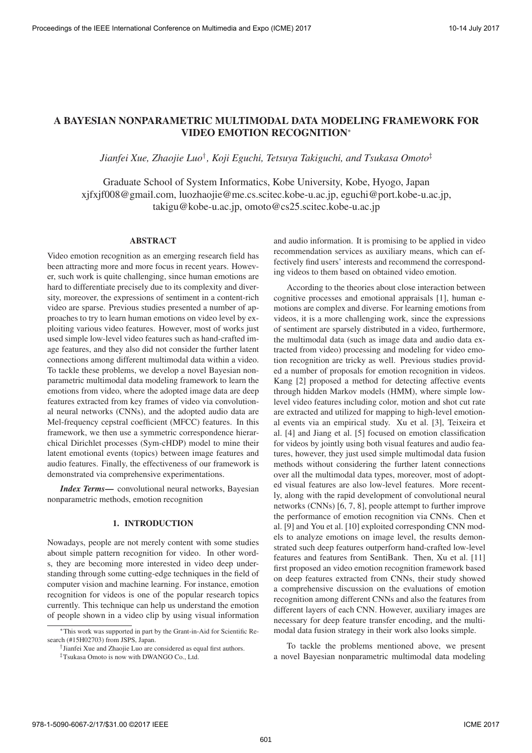# A BAYESIAN NONPARAMETRIC MULTIMODAL DATA MODELING FRAMEWORK FOR VIDEO EMOTION RECOGNITION<sup>∗</sup>

*Jianfei Xue, Zhaojie Luo*† *, Koji Eguchi, Tetsuya Takiguchi, and Tsukasa Omoto*‡

Graduate School of System Informatics, Kobe University, Kobe, Hyogo, Japan xjfxjf008@gmail.com, luozhaojie@me.cs.scitec.kobe-u.ac.jp, eguchi@port.kobe-u.ac.jp, takigu@kobe-u.ac.jp, omoto@cs25.scitec.kobe-u.ac.jp

### ABSTRACT

Video emotion recognition as an emerging research field has been attracting more and more focus in recent years. However, such work is quite challenging, since human emotions are hard to differentiate precisely due to its complexity and diversity, moreover, the expressions of sentiment in a content-rich video are sparse. Previous studies presented a number of approaches to try to learn human emotions on video level by exploiting various video features. However, most of works just used simple low-level video features such as hand-crafted image features, and they also did not consider the further latent connections among different multimodal data within a video. To tackle these problems, we develop a novel Bayesian nonparametric multimodal data modeling framework to learn the emotions from video, where the adopted image data are deep features extracted from key frames of video via convolutional neural networks (CNNs), and the adopted audio data are Mel-frequency cepstral coefficient (MFCC) features. In this framework, we then use a symmetric correspondence hierarchical Dirichlet processes (Sym-cHDP) model to mine their latent emotional events (topics) between image features and audio features. Finally, the effectiveness of our framework is demonstrated via comprehensive experimentations.

*Index Terms*— convolutional neural networks, Bayesian nonparametric methods, emotion recognition

## 1. INTRODUCTION

Nowadays, people are not merely content with some studies about simple pattern recognition for video. In other words, they are becoming more interested in video deep understanding through some cutting-edge techniques in the field of computer vision and machine learning. For instance, emotion recognition for videos is one of the popular research topics currently. This technique can help us understand the emotion of people shown in a video clip by using visual information and audio information. It is promising to be applied in video recommendation services as auxiliary means, which can effectively find users' interests and recommend the corresponding videos to them based on obtained video emotion.

According to the theories about close interaction between cognitive processes and emotional appraisals [1], human emotions are complex and diverse. For learning emotions from videos, it is a more challenging work, since the expressions of sentiment are sparsely distributed in a video, furthermore, the multimodal data (such as image data and audio data extracted from video) processing and modeling for video emotion recognition are tricky as well. Previous studies provided a number of proposals for emotion recognition in videos. Kang [2] proposed a method for detecting affective events through hidden Markov models (HMM), where simple lowlevel video features including color, motion and shot cut rate are extracted and utilized for mapping to high-level emotional events via an empirical study. Xu et al. [3], Teixeira et al. [4] and Jiang et al. [5] focused on emotion classification for videos by jointly using both visual features and audio features, however, they just used simple multimodal data fusion methods without considering the further latent connections over all the multimodal data types, moreover, most of adopted visual features are also low-level features. More recently, along with the rapid development of convolutional neural networks (CNNs) [6, 7, 8], people attempt to further improve the performance of emotion recognition via CNNs. Chen et al. [9] and You et al. [10] exploited corresponding CNN models to analyze emotions on image level, the results demonstrated such deep features outperform hand-crafted low-level features and features from SentiBank. Then, Xu et al. [11] first proposed an video emotion recognition framework based on deep features extracted from CNNs, their study showed a comprehensive discussion on the evaluations of emotion recognition among different CNNs and also the features from different layers of each CNN. However, auxiliary images are necessary for deep feature transfer encoding, and the multimodal data fusion strategy in their work also looks simple.

To tackle the problems mentioned above, we present a novel Bayesian nonparametric multimodal data modeling

<sup>∗</sup>This work was supported in part by the Grant-in-Aid for Scientific Research (#15H02703) from JSPS, Japan.

<sup>&</sup>lt;sup>†</sup>Jianfei Xue and Zhaojie Luo are considered as equal first authors.

<sup>‡</sup>Tsukasa Omoto is now with DWANGO Co., Ltd.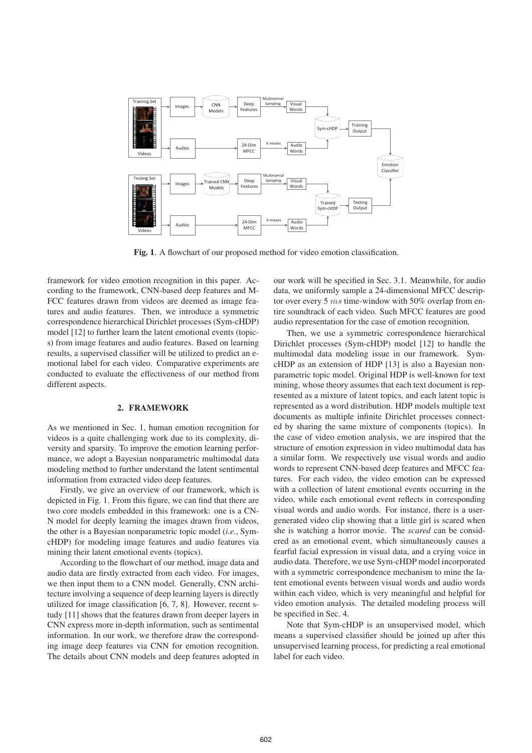

Fig. 1. A flowchart of our proposed method for video emotion classification.

framework for video emotion recognition in this paper. According to the framework, CNN-based deep features and M-FCC features drawn from videos are deemed as image features and audio features. Then, we introduce a symmetric correspondence hierarchical Dirichlet processes (Sym-cHDP) model [12] to further learn the latent emotional events (topics) from image features and audio features. Based on learning results, a supervised classifier will be utilized to predict an emotional label for each video. Comparative experiments are conducted to evaluate the effectiveness of our method from different aspects.

## 2. FRAMEWORK

As we mentioned in Sec. 1, human emotion recognition for videos is a quite challenging work due to its complexity, diversity and sparsity. To improve the emotion learning performance, we adopt a Bayesian nonparametric multimodal data modeling method to further understand the latent sentimental information from extracted video deep features.

Firstly, we give an overview of our framework, which is depicted in Fig. 1. From this figure, we can find that there are two core models embedded in this framework: one is a CN-N model for deeply learning the images drawn from videos, the other is a Bayesian nonparametric topic model (*i.e.*, SymcHDP) for modeling image features and audio features via mining their latent emotional events (topics).

According to the flowchart of our method, image data and audio data are firstly extracted from each video. For images, we then input them to a CNN model. Generally, CNN architecture involving a sequence of deep learning layers is directly utilized for image classification [6, 7, 8]. However, recent study [11] shows that the features drawn from deeper layers in CNN express more in-depth information, such as sentimental information. In our work, we therefore draw the corresponding image deep features via CNN for emotion recognition. The details about CNN models and deep features adopted in

our work will be specified in Sec. 3.1. Meanwhile, for audio data, we uniformly sample a 24-dimensional MFCC descriptor over every 5  $ms$  time-window with 50% overlap from entire soundtrack of each video. Such MFCC features are good audio representation for the case of emotion recognition.

Then, we use a symmetric correspondence hierarchical Dirichlet processes (Sym-cHDP) model [12] to handle the multimodal data modeling issue in our framework. SymcHDP as an extension of HDP [13] is also a Bayesian nonparametric topic model. Original HDP is well-known for text mining, whose theory assumes that each text document is represented as a mixture of latent topics, and each latent topic is represented as a word distribution. HDP models multiple text documents as multiple infinite Dirichlet processes connected by sharing the same mixture of components (topics). In the case of video emotion analysis, we are inspired that the structure of emotion expression in video multimodal data has a similar form. We respectively use visual words and audio words to represent CNN-based deep features and MFCC features. For each video, the video emotion can be expressed with a collection of latent emotional events occurring in the video, while each emotional event reflects in corresponding visual words and audio words. For instance, there is a usergenerated video clip showing that a little girl is scared when she is watching a horror movie. The *scared* can be considered as an emotional event, which simultaneously causes a fearful facial expression in visual data, and a crying voice in audio data. Therefore, we use Sym-cHDP model incorporated with a symmetric correspondence mechanism to mine the latent emotional events between visual words and audio words within each video, which is very meaningful and helpful for video emotion analysis. The detailed modeling process will be specified in Sec. 4.

Note that Sym-cHDP is an unsupervised model, which means a supervised classifier should be joined up after this unsupervised learning process, for predicting a real emotional label for each video.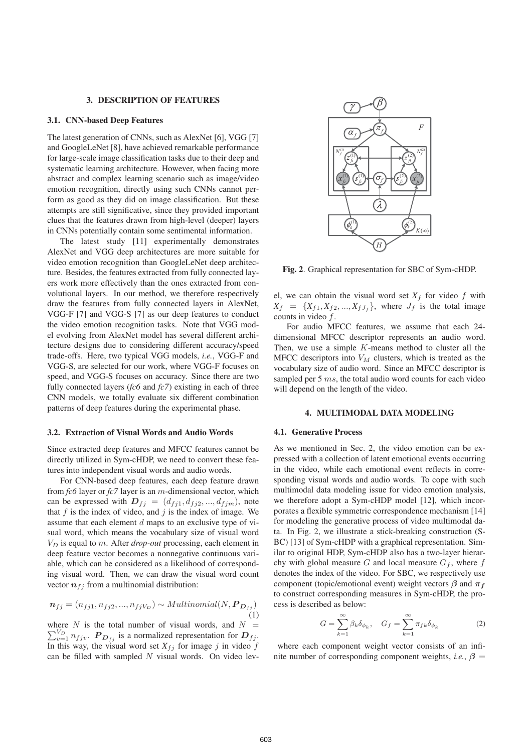#### 3. DESCRIPTION OF FEATURES

#### 3.1. CNN-based Deep Features

The latest generation of CNNs, such as AlexNet [6], VGG [7] and GoogleLeNet [8], have achieved remarkable performance for large-scale image classification tasks due to their deep and systematic learning architecture. However, when facing more abstract and complex learning scenario such as image/video emotion recognition, directly using such CNNs cannot perform as good as they did on image classification. But these attempts are still significative, since they provided important clues that the features drawn from high-level (deeper) layers in CNNs potentially contain some sentimental information.

The latest study [11] experimentally demonstrates AlexNet and VGG deep architectures are more suitable for video emotion recognition than GoogleLeNet deep architecture. Besides, the features extracted from fully connected layers work more effectively than the ones extracted from convolutional layers. In our method, we therefore respectively draw the features from fully connected layers in AlexNet, VGG-F [7] and VGG-S [7] as our deep features to conduct the video emotion recognition tasks. Note that VGG model evolving from AlexNet model has several different architecture designs due to considering different accuracy/speed trade-offs. Here, two typical VGG models, *i.e.*, VGG-F and VGG-S, are selected for our work, where VGG-F focuses on speed, and VGG-S focuses on accuracy. Since there are two fully connected layers (*fc6* and *fc7*) existing in each of three CNN models, we totally evaluate six different combination patterns of deep features during the experimental phase.

#### 3.2. Extraction of Visual Words and Audio Words

Since extracted deep features and MFCC features cannot be directly utilized in Sym-cHDP, we need to convert these features into independent visual words and audio words.

For CNN-based deep features, each deep feature drawn from *fc6* layer or *fc7* layer is an m-dimensional vector, which can be expressed with  $D_{fj} = (d_{fj1}, d_{fj2}, ..., d_{fjm})$ , note that  $f$  is the index of video, and  $j$  is the index of image. We assume that each element d maps to an exclusive type of visual word, which means the vocabulary size of visual word  $V_D$  is equal to m. After *drop-out* processing, each element in deep feature vector becomes a nonnegative continuous variable, which can be considered as a likelihood of corresponding visual word. Then, we can draw the visual word count vector  $n_{fj}$  from a multinomial distribution:

$$
\boldsymbol{n}_{fj} = (n_{fj1}, n_{fj2}, ..., n_{fjV_D}) \sim Multinomial(N, \boldsymbol{P}_{\boldsymbol{D}_{fj}}) \tag{1}
$$

where N is the total number of visual words, and  $N = \sum_{n=1}^{N_D} n_i$ .  $\sum_{v=1}^{V_D} n_{fjv}$ .  $P_{D_{fj}}$  is a normalized representation for  $D_{fj}$ . In this way, the visual word set  $X_{fj}$  for image j in video f can be filled with sampled  $N$  visual words. On video lev-



Fig. 2. Graphical representation for SBC of Sym-cHDP.

el, we can obtain the visual word set  $X_f$  for video f with  $X_f = \{X_{f1}, X_{f2}, \ldots, X_{fJ_f}\}$ , where  $J_f$  is the total image counts in video f.

For audio MFCC features, we assume that each 24 dimensional MFCC descriptor represents an audio word. Then, we use a simple  $K$ -means method to cluster all the MFCC descriptors into  $V_M$  clusters, which is treated as the vocabulary size of audio word. Since an MFCC descriptor is sampled per 5 ms, the total audio word counts for each video will depend on the length of the video.

### 4. MULTIMODAL DATA MODELING

### 4.1. Generative Process

As we mentioned in Sec. 2, the video emotion can be expressed with a collection of latent emotional events occurring in the video, while each emotional event reflects in corresponding visual words and audio words. To cope with such multimodal data modeling issue for video emotion analysis, we therefore adopt a Sym-cHDP model [12], which incorporates a flexible symmetric correspondence mechanism [14] for modeling the generative process of video multimodal data. In Fig. 2, we illustrate a stick-breaking construction (S-BC) [13] of Sym-cHDP with a graphical representation. Similar to original HDP, Sym-cHDP also has a two-layer hierarchy with global measure G and local measure  $G_f$ , where f denotes the index of the video. For SBC, we respectively use component (topic/emotional event) weight vectors  $\beta$  and  $\pi_f$ to construct corresponding measures in Sym-cHDP, the process is described as below:

$$
G = \sum_{k=1}^{\infty} \beta_k \delta_{\phi_k}, \quad G_f = \sum_{k=1}^{\infty} \pi_{fk} \delta_{\phi_k}
$$
 (2)

where each component weight vector consists of an infinite number of corresponding component weights, *i.e.*,  $\beta$  =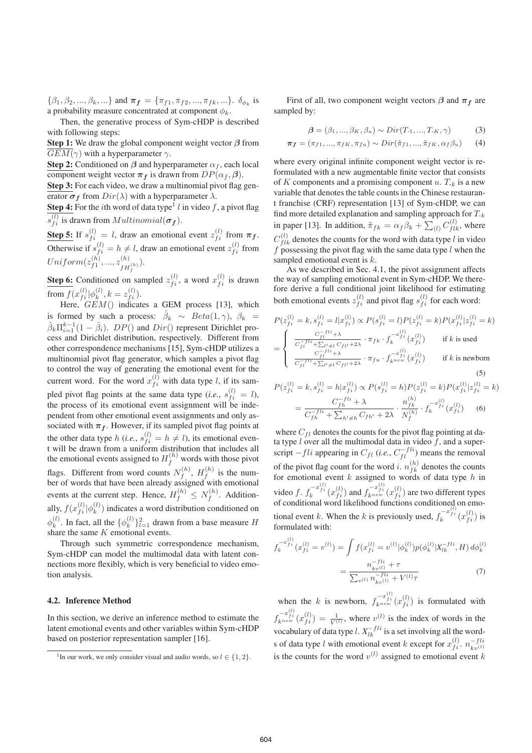$\{\beta_1, \beta_2, ..., \beta_k, ...\}$  and  $\pi_f = \{\pi_{f1}, \pi_{f2}, ..., \pi_{fk}, ...\}$ .  $\delta_{\phi_k}$  is a probability measure concentrated at component  $\phi_k.$ 

Then, the generative process of Sym-cHDP is described with following steps:

Step 1: We draw the global component weight vector *β* from  $\overline{GEM}(\gamma)$  with a hyperparameter  $\gamma$ .

**Step 2:** Conditioned on  $\beta$  and hyperparameter  $\alpha_f$ , each local component weight vector  $\pi_f$  is drawn from  $DP(\alpha_f, \beta)$ .

Step 3: For each video, we draw a multinomial pivot flag generator  $\sigma_f$  from  $Dir(\lambda)$  with a hyperparameter  $\lambda$ .

**Step 4:** For the *i*th word of data type<sup>1</sup> l in video f, a pivot flag  $s_{fi}^{(l)}$  is drawn from  $Multinomial(\boldsymbol{\sigma_f})$ .

**Step 5:** If  $s_{fi}^{(l)} = l$ , draw an emotional event  $z_{fi}^{(l)}$  from  $\pi_f$ . Otherwise if  $s_{fi}^{(l)} = h \neq l$ , draw an emotional event  $z_{fi}^{(l)}$  from  $Uniform(z_{f1}^{(h)}, ..., z_{fH_f}^{(h)}). \tag{4}$ 

**Step 6:** Conditioned on sampled  $z_{fi}^{(l)}$ , a word  $x_{fi}^{(l)}$  is drawn from  $f(x_{fi}^{(l)} | \phi_k^{(l)}, k = z_{fi}^{(l)}).$ 

Here,  $GEM()$  indicates a GEM process [13], which is formed by such a process:  $\beta_k \sim Beta(1, \gamma)$ ,  $\beta_k$  =  $\hat{\beta}_k \Pi_{i=1}^{k-1} (1 - \hat{\beta}_i)$ .  $DP()$  and  $Dir()$  represent Dirichlet process and Dirichlet distribution, respectively. Different from other correspondence mechanisms [15], Sym-cHDP utilizes a multinomial pivot flag generator, which samples a pivot flag to control the way of generating the emotional event for the current word. For the word  $x_{fi}^{(l)}$  with data type *l*, if its sampled pivot flag points at the same data type (*i.e.*,  $s_{fi}^{(l)} = l$ ), the process of its emotional event assignment will be independent from other emotional event assignments and only associated with  $\pi_f$ . However, if its sampled pivot flag points at the other data type h (*i.e.*,  $s_{fi}^{(l)} = h \neq l$ ), its emotional event will be drawn from a uniform distribution that includes all the emotional events assigned to  $H_f^{(h)}$  words with those pivot flags. Different from word counts  $N_f^{(h)}$ ,  $H_f^{(h)}$  is the number of words that have been already assigned with emotional events at the current step. Hence,  $H_f^{(h)} \le N_f^{(h)}$ . Additionally,  $f(x_{fi}^{(l)} | \phi_k^{(l)})$  indicates a word distribution conditioned on  $\phi_k^{(l)}$ . In fact, all the  $\{\phi_k^{(l)}\}_{l=1}^2$  drawn from a base measure H share the same  $K$  emotional events.

Through such symmetric correspondence mechanism, Sym-cHDP can model the multimodal data with latent connections more flexibly, which is very beneficial to video emotion analysis.

#### 4.2. Inference Method

In this section, we derive an inference method to estimate the latent emotional events and other variables within Sym-cHDP based on posterior representation sampler [16].

First of all, two component weight vectors  $\beta$  and  $\pi_f$  are sampled by:

$$
\beta = (\beta_1, ..., \beta_K, \beta_u) \sim Dir(T_{\cdot 1}, ..., T_{\cdot K}, \gamma)
$$
 (3)

$$
\boldsymbol{\pi_f} = (\pi_{f1}, ..., \pi_{fK}, \pi_{fu}) \sim Dir(\tilde{\pi}_{f1}, ..., \tilde{\pi}_{fK}, \alpha_f \beta_u)
$$
(4)

where every original infinite component weight vector is reformulated with a new augmentable finite vector that consists of <sup>K</sup> components and a promising component <sup>u</sup>. <sup>T</sup>*·*<sup>k</sup> is a new variable that denotes the table counts in the Chinese restaurant franchise (CRF) representation [13] of Sym-cHDP, we can find more detailed explanation and sampling approach for <sup>T</sup>*·*<sup>k</sup> in paper [13]. In addition,  $\tilde{\pi}_{fk} = \alpha_f \beta_k + \sum_{(l)} C_{flk}^{(l)}$ , where  $C_{flk}^{(l)}$  denotes the counts for the word with data type l in video  $f$  possessing the pivot flag with the same data type  $l$  when the sampled emotional event is k.

As we described in Sec. 4.1, the pivot assignment affects the way of sampling emotional event in Sym-cHDP. We therefore derive a full conditional joint likelihood for estimating both emotional events  $z_{fi}^{(l)}$  and pivot flag  $s_{fi}^{(l)}$  for each word:

$$
P(z_{fi}^{(l)} = k, s_{fi}^{(l)} = l | x_{fi}^{(l)} \propto P(s_{fi}^{(l)} = l) P(z_{fi}^{(l)} = k) P(x_{fi}^{(l)} | z_{fi}^{(l)} = k)
$$
  
= 
$$
\begin{cases} \frac{C_{fi}^{-1}}{C_{fi}^{-1} + \sum_{l' \neq l} C_{fl'} + 2\lambda} \cdot \pi_{fk} \cdot f_{k}^{-x_{fi}^{(l)}}(x_{fi}^{(l)}) & \text{if } k \text{ is used} \\ \frac{C_{fi}^{-1}}{C_{fi}^{-1} + \sum_{l' \neq l} C_{fl'} + 2\lambda} \cdot \pi_{fu} \cdot f_{k}^{-x_{fi}^{(l)}}(x_{fi}^{(l)}) & \text{if } k \text{ is newborn} \end{cases}
$$
(5)

$$
P(z_{fi}^{(l)} = k, s_{fi}^{(l)} = h|x_{fi}^{(l)}\rangle \propto P(s_{fi}^{(l)} = h)P(z_{fi}^{(l)} = k)P(x_{fi}^{(l)}|z_{fi}^{(l)} = k)
$$

$$
= \frac{C_{fh}^{-fli} + \lambda}{C_{fh}^{-li} + \sum_{h' \neq h} C_{fh'} + 2\lambda} \cdot \frac{n_{fk}^{(h)}}{N_f^{(h)}} \cdot f_k^{-x_{fi}^{(l)}}(x_{fi}^{(l)}) \quad (6)
$$

where  $C_{fl}$  denotes the counts for the pivot flag pointing at data type  $l$  over all the multimodal data in video  $\bar{f}$ , and a superscript  $-fli$  appearing in  $C_{fl}$  (*i.e.*,  $C_{fl}^{-fli}$ ) means the removal of the pivot flag count for the word *i*.  $n_{fk}^{(h)}$  denotes the counts for emotional event  $k$  assigned to words of data type  $h$  in video f.  $f_k^{-x_{fi}^{(l)}}(x_{fi}^{(l)})$  and  $f_{k^{new}}^{-x_{fi}^{(l)}}(x_{fi}^{(l)})$  are two different types of conditional word likelihood functions conditioned on emotional event k. When the k is previously used,  $f_k^{-x_{fi}^{(l)}}(x_{fi}^{(l)})$  is formulated with:

$$
f_k^{-x_{fi}^{(l)}}(x_{fi}^{(l)} = v^{(l)}) = \int f(x_{fi}^{(l)} = v^{(l)}|\phi_k^{(l)})p(\phi_k^{(l)}|X_{lk}^{-fli}, H) d\phi_k^{(l)}
$$

$$
= \frac{n_{kv}^{-fli}}{\sum_{v^{(l)}} n_{kv^{(l)}}^{-fli} + V^{(l)}\tau}
$$
(7)

when the k is newborn,  $f_{k^{neu}}^{-x_{fi}^{(l)}}(x_{fi}^{(l)})$  is formulated with  $f_{k^{new}}^{-x_{fi}^{(l)}}(x_{fi}^{(l)}) = \frac{1}{V^{(l)}}$ , where  $v^{(l)}$  is the index of words in the vocabulary of data type l.  $X_{lk}^{-fli}$  is a set involving all the words of data type l with emotional event k except for  $x_{fi}^{(l)}$ .  $n_{kv^{(l)}}^{-fil}$ is the counts for the word  $v^{(l)}$  assigned to emotional event k

<sup>&</sup>lt;sup>1</sup>In our work, we only consider visual and audio words, so  $l \in \{1, 2\}$ .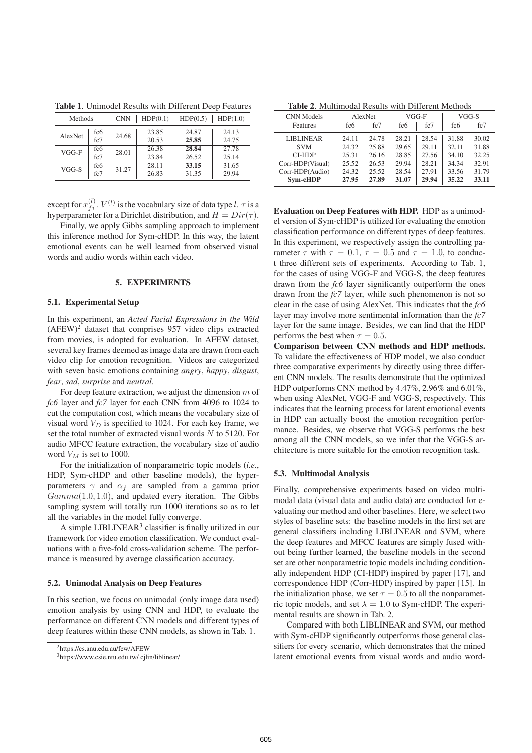| Methods |            | <b>CNN</b> | HDP(0.1)       | HDP(0.5)       | HDP(1.0)       |
|---------|------------|------------|----------------|----------------|----------------|
| AlexNet | fc6<br>fc7 | 24.68      | 23.85<br>20.53 | 24.87<br>25.85 | 24.13<br>24.75 |
| $VGG-F$ | fc6<br>fc7 | 28.01      | 26.38<br>23.84 | 28.84<br>26.52 | 27.78<br>25.14 |
| VGG-S   | fc6<br>fc7 | 31.27      | 28.11<br>26.83 | 33.15<br>31.35 | 31.65<br>29.94 |

Table 1. Unimodel Results with Different Deep Features

except for  $x_{fi}^{(l)}$ .  $V^{(l)}$  is the vocabulary size of data type l.  $\tau$  is a hyperparameter for a Dirichlet distribution, and  $H = Dir(\tau)$ .

Finally, we apply Gibbs sampling approach to implement this inference method for Sym-cHDP. In this way, the latent emotional events can be well learned from observed visual words and audio words within each video.

### 5. EXPERIMENTS

#### 5.1. Experimental Setup

In this experiment, an *Acted Facial Expressions in the Wild*  $(AFEW)^2$  dataset that comprises 957 video clips extracted from movies, is adopted for evaluation. In AFEW dataset, several key frames deemed as image data are drawn from each video clip for emotion recognition. Videos are categorized with seven basic emotions containing *angry*, *happy*, *disgust*, *fear*, *sad*, *surprise* and *neutral*.

For deep feature extraction, we adjust the dimension  $m$  of *fc6* layer and *fc7* layer for each CNN from 4096 to 1024 to cut the computation cost, which means the vocabulary size of visual word  $V_D$  is specified to 1024. For each key frame, we set the total number of extracted visual words  $N$  to 5120. For audio MFCC feature extraction, the vocabulary size of audio word  $V_M$  is set to 1000.

For the initialization of nonparametric topic models (*i.e.*, HDP, Sym-cHDP and other baseline models), the hyperparameters  $\gamma$  and  $\alpha_f$  are sampled from a gamma prior  $Gamma(1.0, 1.0)$ , and updated every iteration. The Gibbs sampling system will totally run 1000 iterations so as to let all the variables in the model fully converge.

A simple LIBLINEAR $3$  classifier is finally utilized in our framework for video emotion classification. We conduct evaluations with a five-fold cross-validation scheme. The performance is measured by average classification accuracy.

### 5.2. Unimodal Analysis on Deep Features

In this section, we focus on unimodal (only image data used) emotion analysis by using CNN and HDP, to evaluate the performance on different CNN models and different types of deep features within these CNN models, as shown in Tab. 1.

Table 2. Multimodal Results with Different Methods

| <b>CNN</b> Models | AlexNet |       | VGG-F           |       | VGG-S           |       |
|-------------------|---------|-------|-----------------|-------|-----------------|-------|
| Features          | fc6     | fc7   | fc <sub>6</sub> | fc7   | fc <sub>6</sub> | fc7   |
| <b>LIBLINEAR</b>  | 24.11   | 24.78 | 28.21           | 28.54 | 31.88           | 30.02 |
| <b>SVM</b>        | 24.32   | 25.88 | 29.65           | 29.11 | 32.11           | 31.88 |
| CI-HDP            | 25.31   | 26.16 | 28.85           | 27.56 | 34.10           | 32.25 |
| Corr-HDP(Visual)  | 25.52   | 26.53 | 29.94           | 28.21 | 34.34           | 32.91 |
| Corr-HDP(Audio)   | 24.32   | 25.52 | 28.54           | 27.91 | 33.56           | 31.79 |
| Sym-cHDP          | 27.95   | 27.89 | 31.07           | 29.94 | 35.22           | 33.11 |

Evaluation on Deep Features with HDP. HDP as a unimodel version of Sym-cHDP is utilized for evaluating the emotion classification performance on different types of deep features. In this experiment, we respectively assign the controlling parameter  $\tau$  with  $\tau = 0.1$ ,  $\tau = 0.5$  and  $\tau = 1.0$ , to conduct three different sets of experiments. According to Tab. 1, for the cases of using VGG-F and VGG-S, the deep features drawn from the *fc6* layer significantly outperform the ones drawn from the *fc7* layer, while such phenomenon is not so clear in the case of using AlexNet. This indicates that the *fc6* layer may involve more sentimental information than the *fc7* layer for the same image. Besides, we can find that the HDP performs the best when  $\tau = 0.5$ .

Comparison between CNN methods and HDP methods. To validate the effectiveness of HDP model, we also conduct three comparative experiments by directly using three different CNN models. The results demonstrate that the optimized HDP outperforms CNN method by 4.47%, 2.96% and 6.01%, when using AlexNet, VGG-F and VGG-S, respectively. This indicates that the learning process for latent emotional events in HDP can actually boost the emotion recognition performance. Besides, we observe that VGG-S performs the best among all the CNN models, so we infer that the VGG-S architecture is more suitable for the emotion recognition task.

#### 5.3. Multimodal Analysis

Finally, comprehensive experiments based on video multimodal data (visual data and audio data) are conducted for evaluating our method and other baselines. Here, we select two styles of baseline sets: the baseline models in the first set are general classifiers including LIBLINEAR and SVM, where the deep features and MFCC features are simply fused without being further learned, the baseline models in the second set are other nonparametric topic models including conditionally independent HDP (CI-HDP) inspired by paper [17], and correspondence HDP (Corr-HDP) inspired by paper [15]. In the initialization phase, we set  $\tau = 0.5$  to all the nonparametric topic models, and set  $\lambda = 1.0$  to Sym-cHDP. The experimental results are shown in Tab. 2.

Compared with both LIBLINEAR and SVM, our method with Sym-cHDP significantly outperforms those general classifiers for every scenario, which demonstrates that the mined latent emotional events from visual words and audio word-

<sup>2</sup>https://cs.anu.edu.au/few/AFEW

<sup>3</sup>https://www.csie.ntu.edu.tw/ cjlin/liblinear/